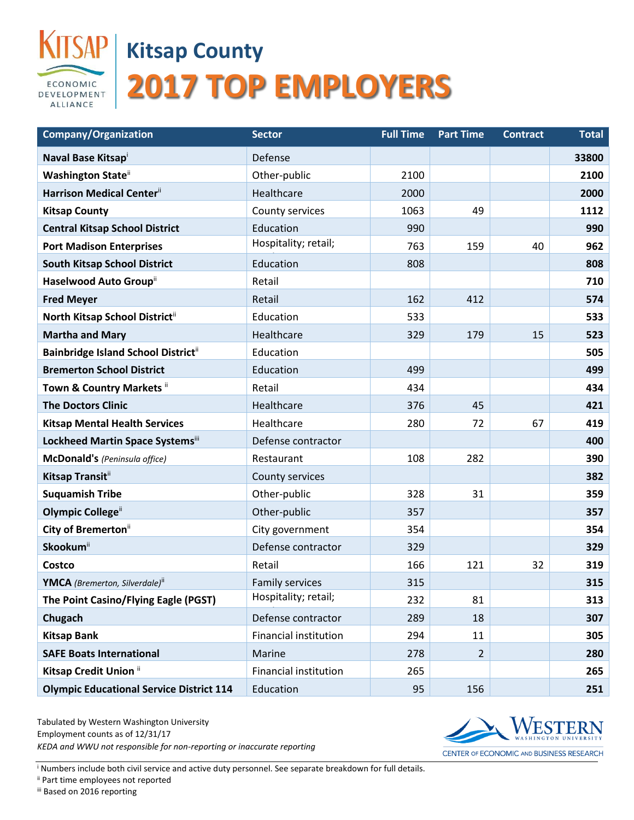

## **Kitsap County 2017 TOP EMPLOYERS**

| <b>Company/Organization</b>                       | <b>Sector</b>                | <b>Full Time</b> | <b>Part Time</b> | <b>Contract</b> | <b>Total</b> |
|---------------------------------------------------|------------------------------|------------------|------------------|-----------------|--------------|
| Naval Base Kitsapi                                | Defense                      |                  |                  |                 | 33800        |
| <b>Washington State</b> ii                        | Other-public                 | 2100             |                  |                 | 2100         |
| Harrison Medical Center <sup>ii</sup>             | Healthcare                   | 2000             |                  |                 | 2000         |
| <b>Kitsap County</b>                              | County services              | 1063             | 49               |                 | 1112         |
| <b>Central Kitsap School District</b>             | Education                    | 990              |                  |                 | 990          |
| <b>Port Madison Enterprises</b>                   | Hospitality; retail;         | 763              | 159              | 40              | 962          |
| <b>South Kitsap School District</b>               | Education                    | 808              |                  |                 | 808          |
| Haselwood Auto Group"                             | Retail                       |                  |                  |                 | 710          |
| <b>Fred Meyer</b>                                 | Retail                       | 162              | 412              |                 | 574          |
| North Kitsap School District"                     | Education                    | 533              |                  |                 | 533          |
| <b>Martha and Mary</b>                            | Healthcare                   | 329              | 179              | 15              | 523          |
| <b>Bainbridge Island School District</b> ii       | Education                    |                  |                  |                 | 505          |
| <b>Bremerton School District</b>                  | Education                    | 499              |                  |                 | 499          |
| Town & Country Markets ii                         | Retail                       | 434              |                  |                 | 434          |
| <b>The Doctors Clinic</b>                         | Healthcare                   | 376              | 45               |                 | 421          |
| <b>Kitsap Mental Health Services</b>              | Healthcare                   | 280              | 72               | 67              | 419          |
| Lockheed Martin Space Systemsiii                  | Defense contractor           |                  |                  |                 | 400          |
| McDonald's (Peninsula office)                     | Restaurant                   | 108              | 282              |                 | 390          |
| Kitsap Transiti                                   | County services              |                  |                  |                 | 382          |
| <b>Suquamish Tribe</b>                            | Other-public                 | 328              | 31               |                 | 359          |
| Olympic College <sup>ii</sup>                     | Other-public                 | 357              |                  |                 | 357          |
| City of Bremerton <sup>ii</sup>                   | City government              | 354              |                  |                 | 354          |
| <b>Skookum</b> ii                                 | Defense contractor           | 329              |                  |                 | 329          |
| Costco                                            | Retail                       | 166              | 121              | 32              | 319          |
| <b>YMCA</b> (Bremerton, Silverdale) <sup>ii</sup> | <b>Family services</b>       | 315              |                  |                 | 315          |
| The Point Casino/Flying Eagle (PGST)              | Hospitality; retail;         | 232              | 81               |                 | 313          |
| Chugach                                           | Defense contractor           | 289              | 18               |                 | 307          |
| <b>Kitsap Bank</b>                                | <b>Financial institution</b> | 294              | 11               |                 | 305          |
| <b>SAFE Boats International</b>                   | Marine                       | 278              | $\overline{2}$   |                 | 280          |
| Kitsap Credit Union ii                            | <b>Financial institution</b> | 265              |                  |                 | 265          |
| <b>Olympic Educational Service District 114</b>   | Education                    | 95               | 156              |                 | 251          |

Tabulated by Western Washington University Employment counts as of 12/31/17 *KEDA and WWU not responsible for non-reporting or inaccurate reporting*



CENTER OF ECONOMIC AND BUSINESS RESEARCH

<sup>i</sup> Numbers include both civil service and active duty personnel. See separate breakdown for full details.

ii Part time employees not reported

iii Based on 2016 reporting